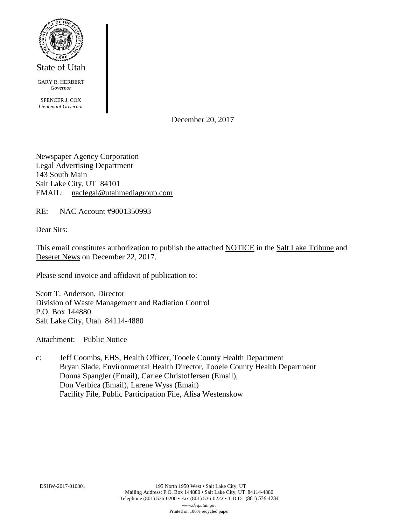

State of Utah

GARY R. HERBERT *Governor*

SPENCER J. COX *Lieutenant Governor*

December 20, 2017

Newspaper Agency Corporation Legal Advertising Department 143 South Main Salt Lake City, UT 84101 EMAIL: naclegal@utahmediagroup.com

RE: NAC Account #9001350993

Dear Sirs:

This email constitutes authorization to publish the attached NOTICE in the Salt Lake Tribune and Deseret News on December 22, 2017.

Please send invoice and affidavit of publication to:

Scott T. Anderson, Director Division of Waste Management and Radiation Control P.O. Box 144880 Salt Lake City, Utah 84114-4880

Attachment: Public Notice

c: Jeff Coombs, EHS, Health Officer, Tooele County Health Department Bryan Slade, Environmental Health Director, Tooele County Health Department Donna Spangler (Email), Carlee Christoffersen (Email), Don Verbica (Email), Larene Wyss (Email) Facility File, Public Participation File, Alisa Westenskow